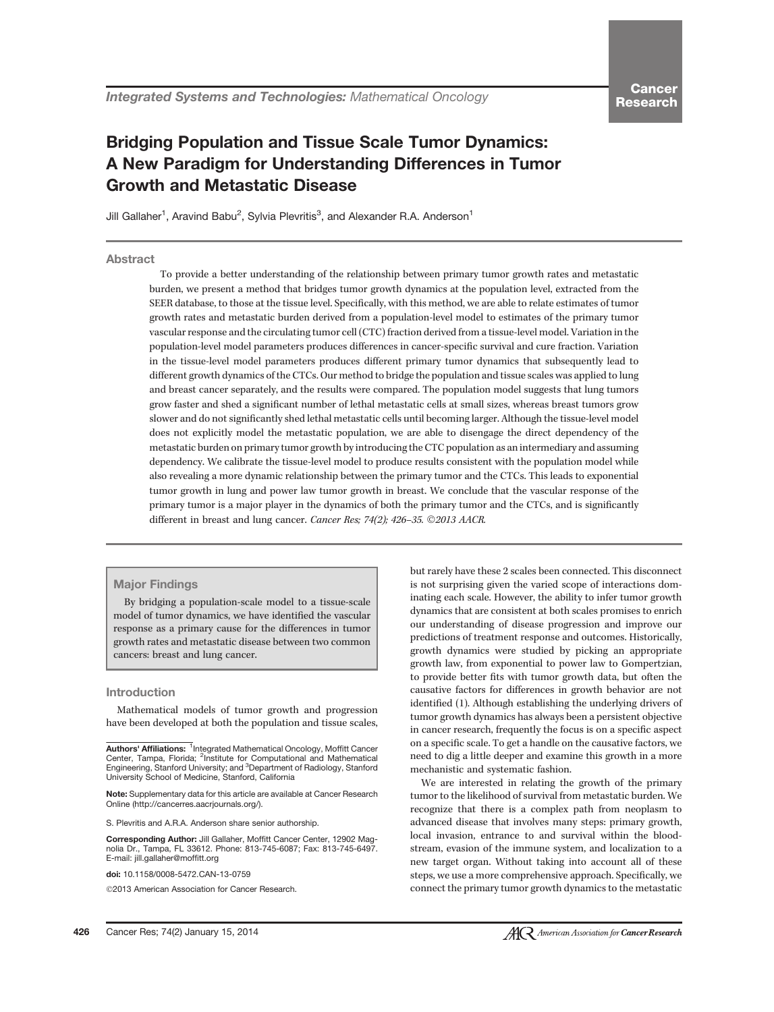# Bridging Population and Tissue Scale Tumor Dynamics: A New Paradigm for Understanding Differences in Tumor Growth and Metastatic Disease

Jill Gallaher<sup>1</sup>, Aravind Babu<sup>2</sup>, Sylvia Plevritis<sup>3</sup>, and Alexander R.A. Anderson<sup>1</sup>

Abstract

To provide a better understanding of the relationship between primary tumor growth rates and metastatic burden, we present a method that bridges tumor growth dynamics at the population level, extracted from the SEER database, to those at the tissue level. Specifically, with this method, we are able to relate estimates of tumor growth rates and metastatic burden derived from a population-level model to estimates of the primary tumor vascular response and the circulating tumor cell (CTC) fraction derived from a tissue-level model. Variation in the population-level model parameters produces differences in cancer-specific survival and cure fraction. Variation in the tissue-level model parameters produces different primary tumor dynamics that subsequently lead to different growth dynamics of the CTCs. Our method to bridge the population and tissue scales was applied to lung and breast cancer separately, and the results were compared. The population model suggests that lung tumors grow faster and shed a significant number of lethal metastatic cells at small sizes, whereas breast tumors grow slower and do not significantly shed lethal metastatic cells until becoming larger. Although the tissue-level model does not explicitly model the metastatic population, we are able to disengage the direct dependency of the metastatic burden on primary tumor growth by introducing the CTC population as an intermediary and assuming dependency. We calibrate the tissue-level model to produce results consistent with the population model while also revealing a more dynamic relationship between the primary tumor and the CTCs. This leads to exponential tumor growth in lung and power law tumor growth in breast. We conclude that the vascular response of the primary tumor is a major player in the dynamics of both the primary tumor and the CTCs, and is significantly different in breast and lung cancer. Cancer Res; 74(2); 426-35.  $\odot$ 2013 AACR.

## Major Findings

By bridging a population-scale model to a tissue-scale model of tumor dynamics, we have identified the vascular response as a primary cause for the differences in tumor growth rates and metastatic disease between two common cancers: breast and lung cancer.

# Introduction

Mathematical models of tumor growth and progression have been developed at both the population and tissue scales,

S. Plevritis and A.R.A. Anderson share senior authorship.

Corresponding Author: Jill Gallaher, Moffitt Cancer Center, 12902 Magnolia Dr., Tampa, FL 33612. Phone: 813-745-6087; Fax: 813-745-6497. E-mail: jill.gallaher@moffitt.org

doi: 10.1158/0008-5472.CAN-13-0759

2013 American Association for Cancer Research.

but rarely have these 2 scales been connected. This disconnect is not surprising given the varied scope of interactions dominating each scale. However, the ability to infer tumor growth dynamics that are consistent at both scales promises to enrich our understanding of disease progression and improve our predictions of treatment response and outcomes. Historically, growth dynamics were studied by picking an appropriate growth law, from exponential to power law to Gompertzian, to provide better fits with tumor growth data, but often the causative factors for differences in growth behavior are not identified (1). Although establishing the underlying drivers of tumor growth dynamics has always been a persistent objective in cancer research, frequently the focus is on a specific aspect on a specific scale. To get a handle on the causative factors, we need to dig a little deeper and examine this growth in a more mechanistic and systematic fashion.

We are interested in relating the growth of the primary tumor to the likelihood of survival from metastatic burden. We recognize that there is a complex path from neoplasm to advanced disease that involves many steps: primary growth, local invasion, entrance to and survival within the bloodstream, evasion of the immune system, and localization to a new target organ. Without taking into account all of these steps, we use a more comprehensive approach. Specifically, we connect the primary tumor growth dynamics to the metastatic

Authors' Affiliations: <sup>1</sup>Integrated Mathematical Oncology, Moffitt Cancer Center, Tampa, Florida; <sup>2</sup>Institute for Computational and Mathematical Engineering, Stanford University; and <sup>3</sup>Department of Radiology, Stanford University School of Medicine, Stanford, California

Note: Supplementary data for this article are available at Cancer Research Online (http://cancerres.aacrjournals.org/).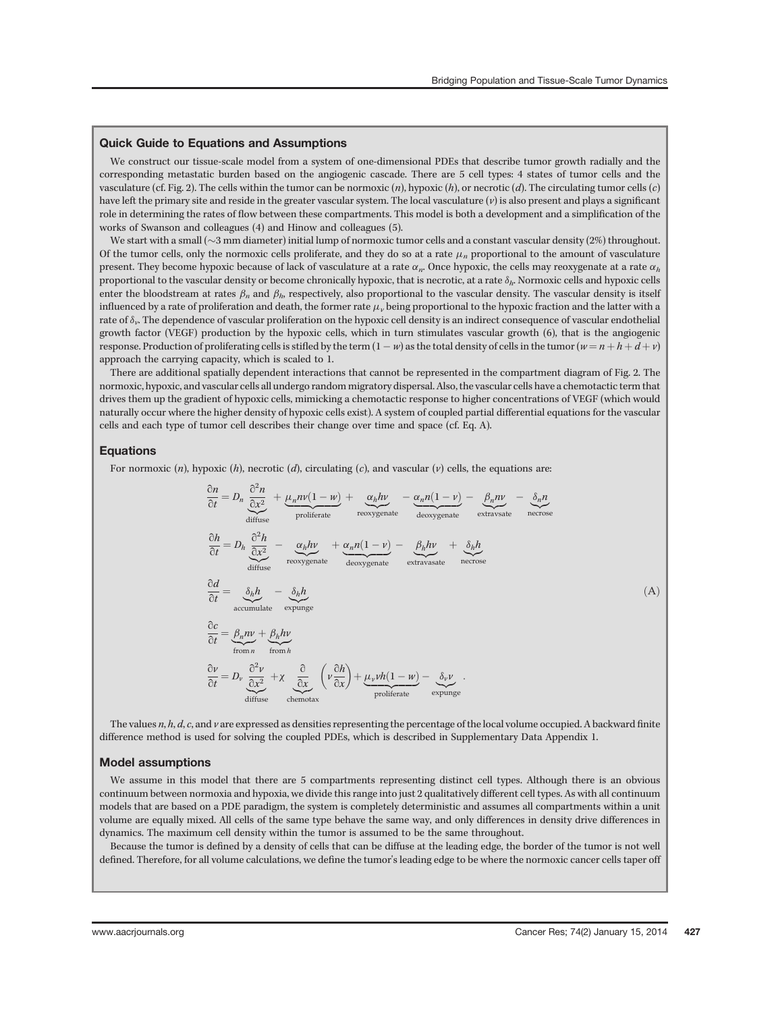#### Quick Guide to Equations and Assumptions

We construct our tissue-scale model from a system of one-dimensional PDEs that describe tumor growth radially and the corresponding metastatic burden based on the angiogenic cascade. There are 5 cell types: 4 states of tumor cells and the vasculature (cf. Fig. 2). The cells within the tumor can be normoxic  $(n)$ , hypoxic  $(h)$ , or necrotic  $(d)$ . The circulating tumor cells  $(c)$ have left the primary site and reside in the greater vascular system. The local vasculature  $(v)$  is also present and plays a significant role in determining the rates of flow between these compartments. This model is both a development and a simplification of the works of Swanson and colleagues (4) and Hinow and colleagues (5).

We start with a small  $(\sim 3$  mm diameter) initial lump of normoxic tumor cells and a constant vascular density (2%) throughout. Of the tumor cells, only the normoxic cells proliferate, and they do so at a rate  $\mu_n$  proportional to the amount of vasculature present. They become hypoxic because of lack of vasculature at a rate  $\alpha_n$ . Once hypoxic, the cells may reoxygenate at a rate  $\alpha_h$ proportional to the vascular density or become chronically hypoxic, that is necrotic, at a rate  $\delta_h$ . Normoxic cells and hypoxic cells enter the bloodstream at rates  $\beta_n$  and  $\beta_n$ , respectively, also proportional to the vascular density. The vascular density is itself influenced by a rate of proliferation and death, the former rate  $\mu_{\nu}$  being proportional to the hypoxic fraction and the latter with a rate of  $\delta_{\nu}$ . The dependence of vascular proliferation on the hypoxic cell density is an indirect consequence of vascular endothelial growth factor (VEGF) production by the hypoxic cells, which in turn stimulates vascular growth (6), that is the angiogenic response. Production of proliferating cells is stifled by the term  $(1 - w)$  as the total density of cells in the tumor  $(w = n + h + d + v)$ approach the carrying capacity, which is scaled to 1.

There are additional spatially dependent interactions that cannot be represented in the compartment diagram of Fig. 2. The normoxic, hypoxic, and vascular cells all undergo random migratory dispersal. Also, the vascular cells have a chemotactic term that drives them up the gradient of hypoxic cells, mimicking a chemotactic response to higher concentrations of VEGF (which would naturally occur where the higher density of hypoxic cells exist). A system of coupled partial differential equations for the vascular cells and each type of tumor cell describes their change over time and space (cf. Eq. A).

## **Equations**

For normoxic  $(n)$ , hypoxic  $(h)$ , necrotic  $(d)$ , circulating  $(c)$ , and vascular  $(v)$  cells, the equations are:

$$
\frac{\partial n}{\partial t} = D_n \underbrace{\frac{\partial^2 n}{\partial x^2}}_{\text{diffuse}} + \underbrace{\mu_n n v (1 - w)}_{\text{proliferate}} + \underbrace{\alpha_h h v}_{\text{reoxygenate}} - \underbrace{\alpha_n n (1 - v)}_{\text{deoxygenate}} - \underbrace{\beta_n n v}_{\text{extravstate}} - \underbrace{\delta_n n}_{\text{nextravsate}}
$$
\n
$$
\frac{\partial h}{\partial t} = D_h \underbrace{\frac{\partial^2 h}{\partial x^2}}_{\text{diffuse}} - \underbrace{\alpha_h h v}_{\text{recxygenate}} + \underbrace{\alpha_n n (1 - v)}_{\text{devxygenate}} - \underbrace{\beta_h h v}_{\text{extravasate}} + \underbrace{\delta_h h}_{\text{ncrose}}
$$
\n
$$
\frac{\partial d}{\partial t} = \underbrace{\delta_h h}_{\text{accumulate}} - \underbrace{\delta_h h}_{\text{expunge}}
$$
\n(A)\n
$$
\frac{\partial c}{\partial t} = D_v \underbrace{\frac{\partial^2 v}{\partial x^2}}_{\text{from } n} + \underbrace{\beta_h h v}_{\text{from } h}
$$
\n(A)

The values  $n, h, d, c$ , and  $\nu$  are expressed as densities representing the percentage of the local volume occupied. A backward finite difference method is used for solving the coupled PDEs, which is described in Supplementary Data Appendix 1.

#### Model assumptions

We assume in this model that there are 5 compartments representing distinct cell types. Although there is an obvious continuum between normoxia and hypoxia, we divide this range into just 2 qualitatively different cell types. As with all continuum models that are based on a PDE paradigm, the system is completely deterministic and assumes all compartments within a unit volume are equally mixed. All cells of the same type behave the same way, and only differences in density drive differences in dynamics. The maximum cell density within the tumor is assumed to be the same throughout.

Because the tumor is defined by a density of cells that can be diffuse at the leading edge, the border of the tumor is not well defined. Therefore, for all volume calculations, we define the tumor's leading edge to be where the normoxic cancer cells taper off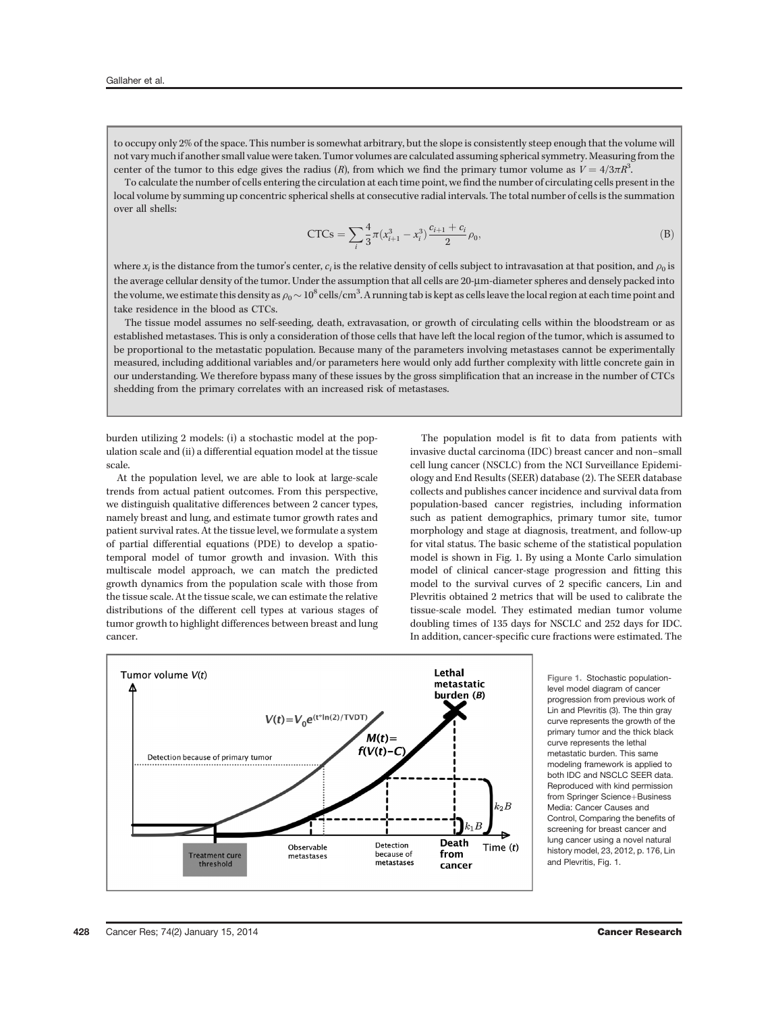to occupy only 2% of the space. This number is somewhat arbitrary, but the slope is consistently steep enough that the volume will not vary much if another small value were taken. Tumor volumes are calculated assuming spherical symmetry. Measuring from the center of the tumor to this edge gives the radius (R), from which we find the primary tumor volume as  $V = 4/3\pi R^3$ . .

To calculate the number of cells entering the circulation at each time point, we find the number of circulating cells present in the local volume by summing up concentric spherical shells at consecutive radial intervals. The total number of cells is the summation over all shells:

$$
CTCs = \sum_{i} \frac{4}{3} \pi (x_{i+1}^3 - x_i^3) \frac{c_{i+1} + c_i}{2} \rho_0,
$$
 (B)

where  $x_i$  is the distance from the tumor's center,  $c_i$  is the relative density of cells subject to intravasation at that position, and  $\rho_0$  is the average cellular density of the tumor. Under the assumption that all cells are 20-µm-diameter spheres and densely packed into the volume, we estimate this density as  $\rho_0 \sim 10^8$  cells/cm<sup>3</sup>. A running tab is kept as cells leave the local region at each time point and take residence in the blood as CTCs.

The tissue model assumes no self-seeding, death, extravasation, or growth of circulating cells within the bloodstream or as established metastases. This is only a consideration of those cells that have left the local region of the tumor, which is assumed to be proportional to the metastatic population. Because many of the parameters involving metastases cannot be experimentally measured, including additional variables and/or parameters here would only add further complexity with little concrete gain in our understanding. We therefore bypass many of these issues by the gross simplification that an increase in the number of CTCs shedding from the primary correlates with an increased risk of metastases.

burden utilizing 2 models: (i) a stochastic model at the population scale and (ii) a differential equation model at the tissue scale.

At the population level, we are able to look at large-scale trends from actual patient outcomes. From this perspective, we distinguish qualitative differences between 2 cancer types, namely breast and lung, and estimate tumor growth rates and patient survival rates. At the tissue level, we formulate a system of partial differential equations (PDE) to develop a spatiotemporal model of tumor growth and invasion. With this multiscale model approach, we can match the predicted growth dynamics from the population scale with those from the tissue scale. At the tissue scale, we can estimate the relative distributions of the different cell types at various stages of tumor growth to highlight differences between breast and lung cancer.

The population model is fit to data from patients with invasive ductal carcinoma (IDC) breast cancer and non–small cell lung cancer (NSCLC) from the NCI Surveillance Epidemiology and End Results (SEER) database (2). The SEER database collects and publishes cancer incidence and survival data from population-based cancer registries, including information such as patient demographics, primary tumor site, tumor morphology and stage at diagnosis, treatment, and follow-up for vital status. The basic scheme of the statistical population model is shown in Fig. 1. By using a Monte Carlo simulation model of clinical cancer-stage progression and fitting this model to the survival curves of 2 specific cancers, Lin and Plevritis obtained 2 metrics that will be used to calibrate the tissue-scale model. They estimated median tumor volume doubling times of 135 days for NSCLC and 252 days for IDC. In addition, cancer-specific cure fractions were estimated. The



Figure 1. Stochastic populationlevel model diagram of cancer progression from previous work of Lin and Plevritis (3). The thin gray curve represents the growth of the primary tumor and the thick black curve represents the lethal metastatic burden. This same modeling framework is applied to both IDC and NSCLC SEER data. Reproduced with kind permission from Springer Science+Business Media: Cancer Causes and Control, Comparing the benefits of screening for breast cancer and lung cancer using a novel natural history model, 23, 2012, p. 176, Lin and Plevritis, Fig. 1.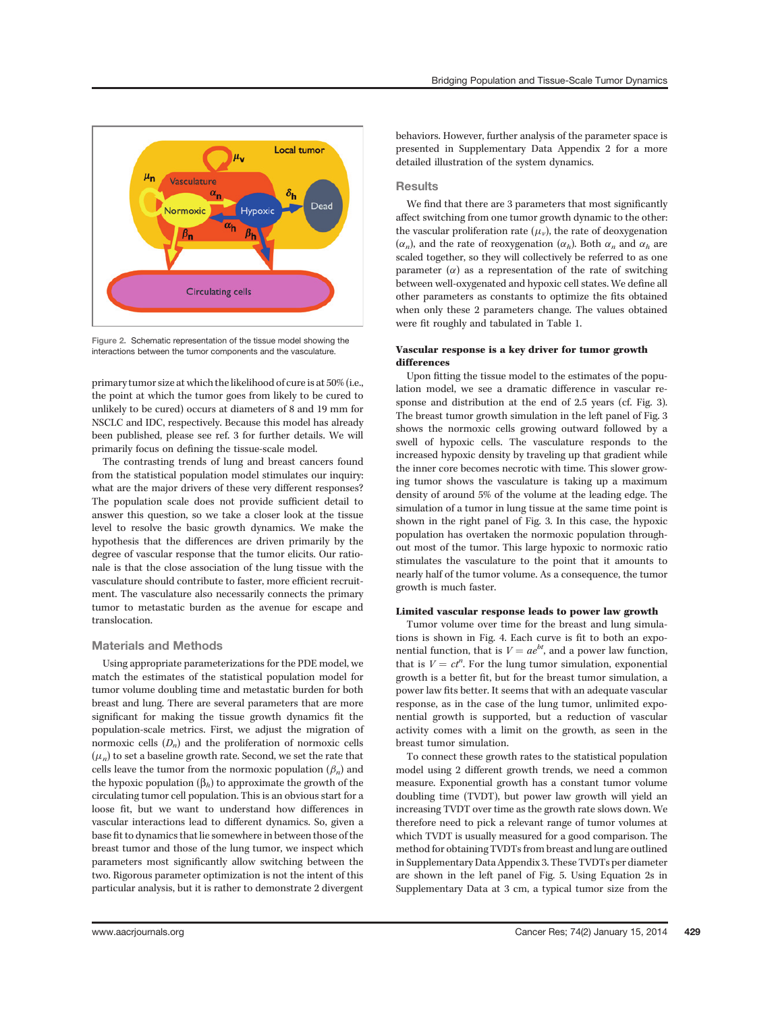

Figure 2. Schematic representation of the tissue model showing the interactions between the tumor components and the vasculature.

primary tumor size at which the likelihood of cure is at 50% (i.e., the point at which the tumor goes from likely to be cured to unlikely to be cured) occurs at diameters of 8 and 19 mm for NSCLC and IDC, respectively. Because this model has already been published, please see ref. 3 for further details. We will primarily focus on defining the tissue-scale model.

The contrasting trends of lung and breast cancers found from the statistical population model stimulates our inquiry: what are the major drivers of these very different responses? The population scale does not provide sufficient detail to answer this question, so we take a closer look at the tissue level to resolve the basic growth dynamics. We make the hypothesis that the differences are driven primarily by the degree of vascular response that the tumor elicits. Our rationale is that the close association of the lung tissue with the vasculature should contribute to faster, more efficient recruitment. The vasculature also necessarily connects the primary tumor to metastatic burden as the avenue for escape and translocation.

## Materials and Methods

Using appropriate parameterizations for the PDE model, we match the estimates of the statistical population model for tumor volume doubling time and metastatic burden for both breast and lung. There are several parameters that are more significant for making the tissue growth dynamics fit the population-scale metrics. First, we adjust the migration of normoxic cells  $(D_n)$  and the proliferation of normoxic cells  $(\mu_n)$  to set a baseline growth rate. Second, we set the rate that cells leave the tumor from the normoxic population  $(\beta_n)$  and the hypoxic population  $(\beta_h)$  to approximate the growth of the circulating tumor cell population. This is an obvious start for a loose fit, but we want to understand how differences in vascular interactions lead to different dynamics. So, given a base fit to dynamics that lie somewhere in between those of the breast tumor and those of the lung tumor, we inspect which parameters most significantly allow switching between the two. Rigorous parameter optimization is not the intent of this particular analysis, but it is rather to demonstrate 2 divergent

behaviors. However, further analysis of the parameter space is presented in Supplementary Data Appendix 2 for a more detailed illustration of the system dynamics.

## **Results**

We find that there are 3 parameters that most significantly affect switching from one tumor growth dynamic to the other: the vascular proliferation rate  $(\mu_{\nu})$ , the rate of deoxygenation  $(\alpha_n)$ , and the rate of reoxygenation  $(\alpha_h)$ . Both  $\alpha_n$  and  $\alpha_h$  are scaled together, so they will collectively be referred to as one parameter  $(\alpha)$  as a representation of the rate of switching between well-oxygenated and hypoxic cell states. We define all other parameters as constants to optimize the fits obtained when only these 2 parameters change. The values obtained were fit roughly and tabulated in Table 1.

## Vascular response is a key driver for tumor growth differences

Upon fitting the tissue model to the estimates of the population model, we see a dramatic difference in vascular response and distribution at the end of 2.5 years (cf. Fig. 3). The breast tumor growth simulation in the left panel of Fig. 3 shows the normoxic cells growing outward followed by a swell of hypoxic cells. The vasculature responds to the increased hypoxic density by traveling up that gradient while the inner core becomes necrotic with time. This slower growing tumor shows the vasculature is taking up a maximum density of around 5% of the volume at the leading edge. The simulation of a tumor in lung tissue at the same time point is shown in the right panel of Fig. 3. In this case, the hypoxic population has overtaken the normoxic population throughout most of the tumor. This large hypoxic to normoxic ratio stimulates the vasculature to the point that it amounts to nearly half of the tumor volume. As a consequence, the tumor growth is much faster.

#### Limited vascular response leads to power law growth

Tumor volume over time for the breast and lung simulations is shown in Fig. 4. Each curve is fit to both an exponential function, that is  $V = ae^{bt}$ , and a power law function, that is  $V = ct^n$ . For the lung tumor simulation, exponential growth is a better fit, but for the breast tumor simulation, a power law fits better. It seems that with an adequate vascular response, as in the case of the lung tumor, unlimited exponential growth is supported, but a reduction of vascular activity comes with a limit on the growth, as seen in the breast tumor simulation.

To connect these growth rates to the statistical population model using 2 different growth trends, we need a common measure. Exponential growth has a constant tumor volume doubling time (TVDT), but power law growth will yield an increasing TVDT over time as the growth rate slows down. We therefore need to pick a relevant range of tumor volumes at which TVDT is usually measured for a good comparison. The method for obtaining TVDTs from breast and lung are outlined in Supplementary Data Appendix 3. These TVDTs per diameter are shown in the left panel of Fig. 5. Using Equation 2s in Supplementary Data at 3 cm, a typical tumor size from the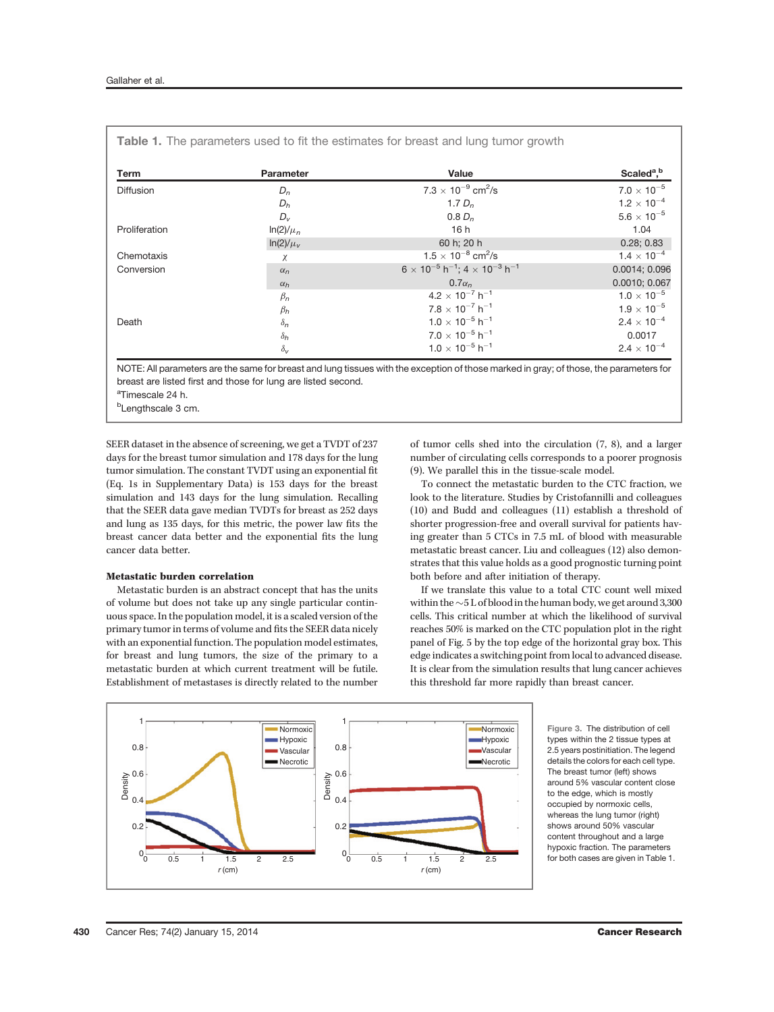| Term             | Parameter        | Value                                                                   | Scaled <sup>a</sup> , <sup>b</sup> |
|------------------|------------------|-------------------------------------------------------------------------|------------------------------------|
| <b>Diffusion</b> | $D_n$            | $7.3 \times 10^{-9}$ cm <sup>2</sup> /s                                 | $7.0 \times 10^{-5}$               |
|                  | $D_h$            | 1.7 $D_n$                                                               | $1.2 \times 10^{-4}$               |
|                  | $D_v$            | $0.8 D_n$                                                               | $5.6 \times 10^{-5}$               |
| Proliferation    | $ln(2)/\mu_n$    | 16h                                                                     | 1.04                               |
|                  | $ln(2)/\mu_v$    | 60 h; 20 h                                                              | 0.28; 0.83                         |
| Chemotaxis       | $\chi$           | $1.5 \times 10^{-8}$ cm <sup>2</sup> /s                                 | $1.4 \times 10^{-4}$               |
| Conversion       | $\alpha_n$       | $6 \times 10^{-5}$ h <sup>-1</sup> ; $4 \times 10^{-3}$ h <sup>-1</sup> | 0.0014; 0.096                      |
|                  | $\alpha_h$       | $0.7\alpha_n$                                                           | 0.0010; 0.067                      |
|                  | $\beta_n$        | $4.2 \times 10^{-7}$ h <sup>-1</sup>                                    | $1.0 \times 10^{-5}$               |
|                  | $\beta_h$        | $7.8 \times 10^{-7}$ h <sup>-1</sup>                                    | $1.9 \times 10^{-5}$               |
| Death            | $\delta_n$       | $1.0 \times 10^{-5}$ h <sup>-1</sup>                                    | $2.4 \times 10^{-4}$               |
|                  | $\delta_h$       | $7.0 \times 10^{-5}$ h <sup>-1</sup>                                    | 0.0017                             |
|                  | $\delta_{\rm v}$ | $1.0 \times 10^{-5}$ h <sup>-1</sup>                                    | $2.4 \times 10^{-4}$               |

NOTE: All parameters are the same for breast and lung tissues with the exception of those marked in gray; of those, the parameters for breast are listed first and those for lung are listed second.

<sup>a</sup>Timescale 24 h.

<sup>b</sup>Lengthscale 3 cm.

SEER dataset in the absence of screening, we get a TVDT of 237 days for the breast tumor simulation and 178 days for the lung tumor simulation. The constant TVDT using an exponential fit (Eq. 1s in Supplementary Data) is 153 days for the breast simulation and 143 days for the lung simulation. Recalling that the SEER data gave median TVDTs for breast as 252 days and lung as 135 days, for this metric, the power law fits the breast cancer data better and the exponential fits the lung cancer data better.

## Metastatic burden correlation

Metastatic burden is an abstract concept that has the units of volume but does not take up any single particular continuous space. In the population model, it is a scaled version of the primary tumor in terms of volume and fits the SEER data nicely with an exponential function. The population model estimates, for breast and lung tumors, the size of the primary to a metastatic burden at which current treatment will be futile. Establishment of metastases is directly related to the number

of tumor cells shed into the circulation (7, 8), and a larger number of circulating cells corresponds to a poorer prognosis (9). We parallel this in the tissue-scale model.

To connect the metastatic burden to the CTC fraction, we look to the literature. Studies by Cristofannilli and colleagues (10) and Budd and colleagues (11) establish a threshold of shorter progression-free and overall survival for patients having greater than 5 CTCs in 7.5 mL of blood with measurable metastatic breast cancer. Liu and colleagues (12) also demonstrates that this value holds as a good prognostic turning point both before and after initiation of therapy.

If we translate this value to a total CTC count well mixed within the  $\sim$  5 L of blood in the human body, we get around 3,300 cells. This critical number at which the likelihood of survival reaches 50% is marked on the CTC population plot in the right panel of Fig. 5 by the top edge of the horizontal gray box. This edge indicates a switching point from local to advanced disease. It is clear from the simulation results that lung cancer achieves this threshold far more rapidly than breast cancer.



Figure 3. The distribution of cell types within the 2 tissue types at 2.5 years postinitiation. The legend details the colors for each cell type. The breast tumor (left) shows around 5% vascular content close to the edge, which is mostly occupied by normoxic cells, whereas the lung tumor (right) shows around 50% vascular content throughout and a large hypoxic fraction. The parameters for both cases are given in Table 1.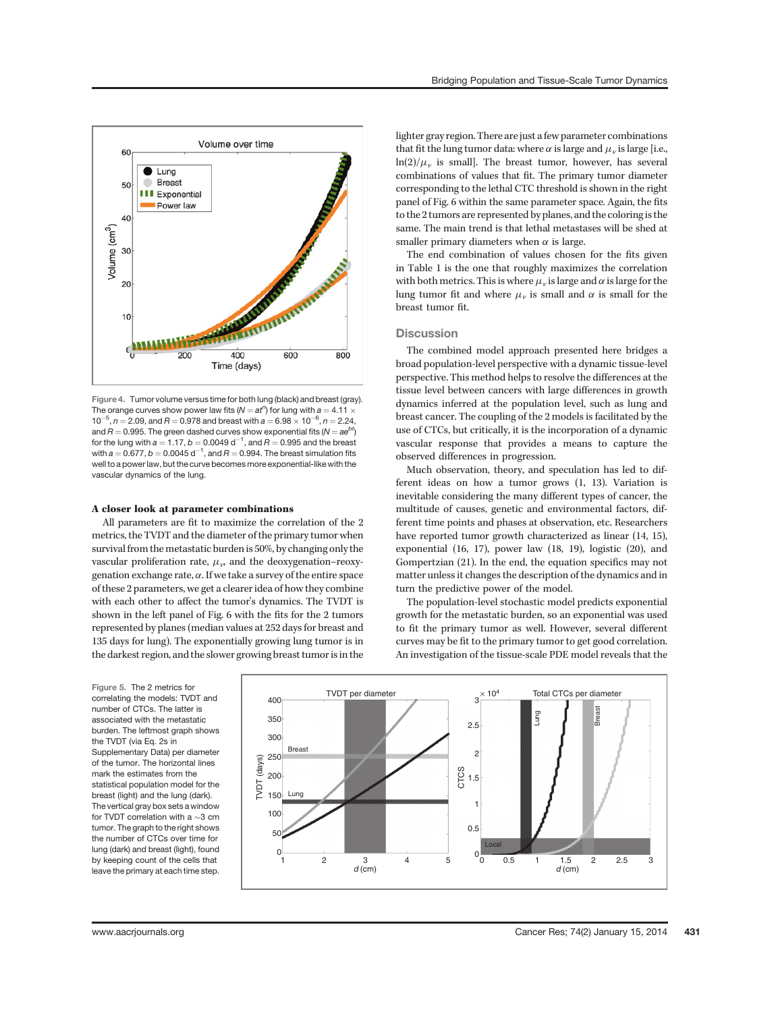

Figure 4. Tumor volume versus time for both lung (black) and breast (gray). The orange curves show power law fits  $(N = at^n)$  for lung with  $a = 4.11 \times$  $10^{-5}$ ,  $n = 2.09$ , and  $R = 0.978$  and breast with  $a = 6.98 \times 10^{-6}$ ,  $n = 2.24$ , and  $R = 0.995$ . The green dashed curves show exponential fits ( $N = ae^{bt}$ ) for the lung with  $a = 1.17$ ,  $b = 0.0049$  d<sup>-1</sup>, and  $R = 0.995$  and the breast with  $a = 0.677$ ,  $b = 0.0045 \text{ d}^{-1}$ , and  $R = 0.994$ . The breast simulation fits well to a power law, but the curve becomes more exponential-like with the vascular dynamics of the lung.

#### A closer look at parameter combinations

All parameters are fit to maximize the correlation of the 2 metrics, the TVDT and the diameter of the primary tumor when survival from the metastatic burden is 50%, by changing only the vascular proliferation rate,  $\mu_{\nu}$ , and the deoxygenation–reoxygenation exchange rate,  $\alpha$ . If we take a survey of the entire space of these 2 parameters, we get a clearer idea of how they combine with each other to affect the tumor's dynamics. The TVDT is shown in the left panel of Fig. 6 with the fits for the 2 tumors represented by planes (median values at 252 days for breast and 135 days for lung). The exponentially growing lung tumor is in the darkest region, and the slower growing breast tumor is in the lighter gray region. There are just a few parameter combinations that fit the lung tumor data: where  $\alpha$  is large and  $\mu_{\nu}$  is large [i.e.,  $ln(2)/\mu_v$  is small]. The breast tumor, however, has several combinations of values that fit. The primary tumor diameter corresponding to the lethal CTC threshold is shown in the right panel of Fig. 6 within the same parameter space. Again, the fits to the 2 tumors are represented by planes, and the coloring is the same. The main trend is that lethal metastases will be shed at smaller primary diameters when  $\alpha$  is large.

The end combination of values chosen for the fits given in Table 1 is the one that roughly maximizes the correlation with both metrics. This is where  $\mu_{\nu}$  is large and  $\alpha$  is large for the lung tumor fit and where  $\mu_{\nu}$  is small and  $\alpha$  is small for the breast tumor fit.

### **Discussion**

The combined model approach presented here bridges a broad population-level perspective with a dynamic tissue-level perspective. This method helps to resolve the differences at the tissue level between cancers with large differences in growth dynamics inferred at the population level, such as lung and breast cancer. The coupling of the 2 models is facilitated by the use of CTCs, but critically, it is the incorporation of a dynamic vascular response that provides a means to capture the observed differences in progression.

Much observation, theory, and speculation has led to different ideas on how a tumor grows (1, 13). Variation is inevitable considering the many different types of cancer, the multitude of causes, genetic and environmental factors, different time points and phases at observation, etc. Researchers have reported tumor growth characterized as linear (14, 15), exponential (16, 17), power law (18, 19), logistic (20), and Gompertzian (21). In the end, the equation specifics may not matter unless it changes the description of the dynamics and in turn the predictive power of the model.

The population-level stochastic model predicts exponential growth for the metastatic burden, so an exponential was used to fit the primary tumor as well. However, several different curves may be fit to the primary tumor to get good correlation. An investigation of the tissue-scale PDE model reveals that the

Figure 5. The 2 metrics for correlating the models: TVDT and number of CTCs. The latter is associated with the metastatic burden. The leftmost graph shows the TVDT (via Eq. 2s in Supplementary Data) per diameter of the tumor. The horizontal lines mark the estimates from the statistical population model for the breast (light) and the lung (dark). The vertical gray box sets a window for TVDT correlation with a  $\sim$ 3 cm tumor. The graph to the right shows the number of CTCs over time for lung (dark) and breast (light), found by keeping count of the cells that leave the primary at each time step.

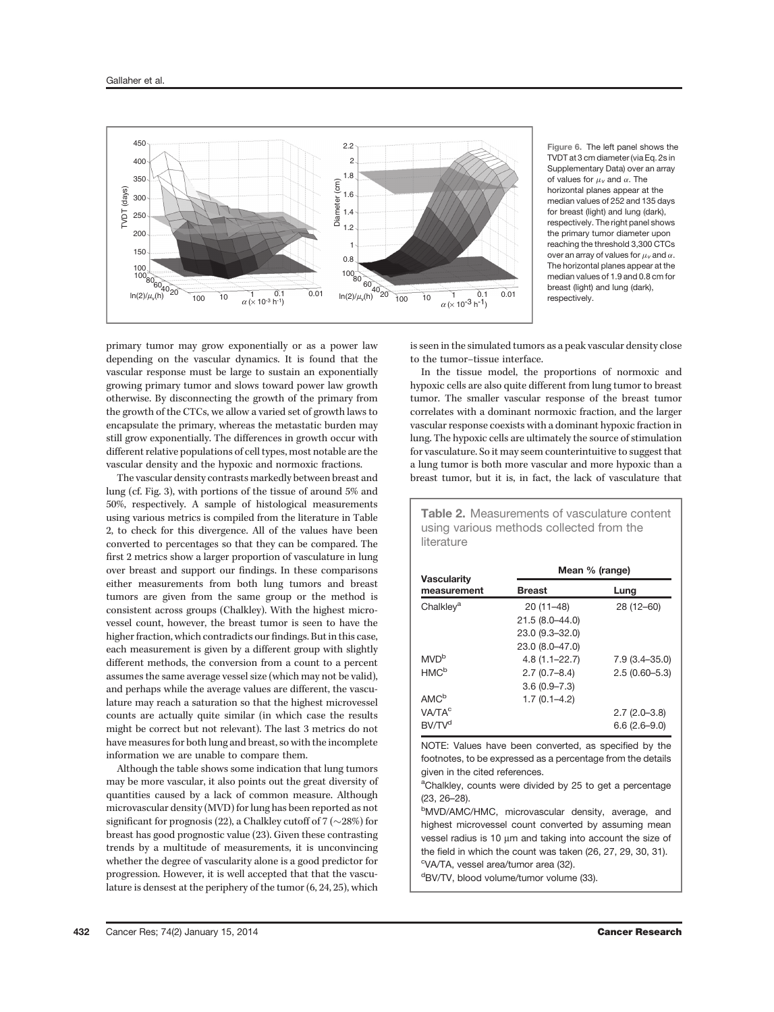

Figure 6. The left panel shows the TVDT at 3 cm diameter (via Eq. 2s in Supplementary Data) over an array of values for  $u_v$  and  $\alpha$ . The horizontal planes appear at the median values of 252 and 135 days for breast (light) and lung (dark), respectively. The right panel shows the primary tumor diameter upon reaching the threshold 3,300 CTCs over an array of values for  $u<sub>v</sub>$  and  $\alpha$ . The horizontal planes appear at the median values of 1.9 and 0.8 cm for breast (light) and lung (dark), respectively.

primary tumor may grow exponentially or as a power law depending on the vascular dynamics. It is found that the vascular response must be large to sustain an exponentially growing primary tumor and slows toward power law growth otherwise. By disconnecting the growth of the primary from the growth of the CTCs, we allow a varied set of growth laws to encapsulate the primary, whereas the metastatic burden may still grow exponentially. The differences in growth occur with different relative populations of cell types, most notable are the vascular density and the hypoxic and normoxic fractions.

The vascular density contrasts markedly between breast and lung (cf. Fig. 3), with portions of the tissue of around 5% and 50%, respectively. A sample of histological measurements using various metrics is compiled from the literature in Table 2, to check for this divergence. All of the values have been converted to percentages so that they can be compared. The first 2 metrics show a larger proportion of vasculature in lung over breast and support our findings. In these comparisons either measurements from both lung tumors and breast tumors are given from the same group or the method is consistent across groups (Chalkley). With the highest microvessel count, however, the breast tumor is seen to have the higher fraction, which contradicts our findings. But in this case, each measurement is given by a different group with slightly different methods, the conversion from a count to a percent assumes the same average vessel size (which may not be valid), and perhaps while the average values are different, the vasculature may reach a saturation so that the highest microvessel counts are actually quite similar (in which case the results might be correct but not relevant). The last 3 metrics do not have measures for both lung and breast, so with the incomplete information we are unable to compare them.

Although the table shows some indication that lung tumors may be more vascular, it also points out the great diversity of quantities caused by a lack of common measure. Although microvascular density (MVD) for lung has been reported as not significant for prognosis (22), a Chalkley cutoff of  $7 (\sim 28\%)$  for breast has good prognostic value (23). Given these contrasting trends by a multitude of measurements, it is unconvincing whether the degree of vascularity alone is a good predictor for progression. However, it is well accepted that that the vasculature is densest at the periphery of the tumor (6, 24, 25), which is seen in the simulated tumors as a peak vascular density close to the tumor–tissue interface.

In the tissue model, the proportions of normoxic and hypoxic cells are also quite different from lung tumor to breast tumor. The smaller vascular response of the breast tumor correlates with a dominant normoxic fraction, and the larger vascular response coexists with a dominant hypoxic fraction in lung. The hypoxic cells are ultimately the source of stimulation for vasculature. So it may seem counterintuitive to suggest that a lung tumor is both more vascular and more hypoxic than a breast tumor, but it is, in fact, the lack of vasculature that

| <b>Table 2.</b> Measurements of vasculature content |
|-----------------------------------------------------|
| using various methods collected from the            |
| literature                                          |
|                                                     |

| <b>Vascularity</b>      | Mean % (range)    |                   |  |
|-------------------------|-------------------|-------------------|--|
| measurement             | <b>Breast</b>     | Lung              |  |
| Chalkley <sup>a</sup>   | $20(11-48)$       | 28 (12-60)        |  |
|                         | 21.5 (8.0-44.0)   |                   |  |
|                         | 23.0 (9.3-32.0)   |                   |  |
|                         | 23.0 (8.0-47.0)   |                   |  |
| <b>MVD</b> <sup>b</sup> | $4.8(1.1 - 22.7)$ | $7.9(3.4 - 35.0)$ |  |
| HMC <sup>b</sup>        | $2.7(0.7-8.4)$    | $2.5(0.60 - 5.3)$ |  |
|                         | $3.6(0.9 - 7.3)$  |                   |  |
| AMC <sup>b</sup>        | $1.7(0.1 - 4.2)$  |                   |  |
| VA/TA <sup>c</sup>      |                   | $2.7(2.0-3.8)$    |  |
| BV/TV <sup>d</sup>      |                   | $6.6(2.6-9.0)$    |  |

NOTE: Values have been converted, as specified by the footnotes, to be expressed as a percentage from the details given in the cited references.

<sup>a</sup>Chalkley, counts were divided by 25 to get a percentage (23, 26–28).

**bMVD/AMC/HMC, microvascular density, average, and** highest microvessel count converted by assuming mean vessel radius is 10 µm and taking into account the size of the field in which the count was taken (26, 27, 29, 30, 31). <sup>c</sup>VA/TA, vessel area/tumor area (32).

d BV/TV, blood volume/tumor volume (33).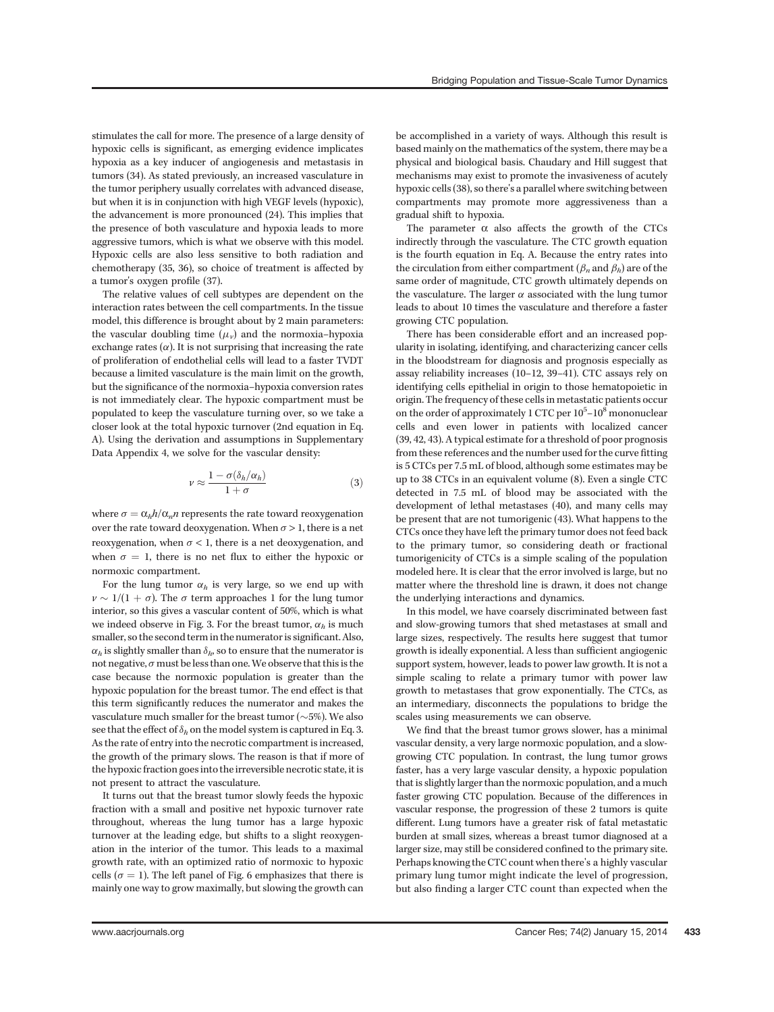stimulates the call for more. The presence of a large density of hypoxic cells is significant, as emerging evidence implicates hypoxia as a key inducer of angiogenesis and metastasis in tumors (34). As stated previously, an increased vasculature in the tumor periphery usually correlates with advanced disease, but when it is in conjunction with high VEGF levels (hypoxic), the advancement is more pronounced (24). This implies that the presence of both vasculature and hypoxia leads to more aggressive tumors, which is what we observe with this model. Hypoxic cells are also less sensitive to both radiation and chemotherapy (35, 36), so choice of treatment is affected by a tumor's oxygen profile (37).

The relative values of cell subtypes are dependent on the interaction rates between the cell compartments. In the tissue model, this difference is brought about by 2 main parameters: the vascular doubling time  $(\mu_{\nu})$  and the normoxia–hypoxia exchange rates  $(\alpha)$ . It is not surprising that increasing the rate of proliferation of endothelial cells will lead to a faster TVDT because a limited vasculature is the main limit on the growth, but the significance of the normoxia–hypoxia conversion rates is not immediately clear. The hypoxic compartment must be populated to keep the vasculature turning over, so we take a closer look at the total hypoxic turnover (2nd equation in Eq. A). Using the derivation and assumptions in Supplementary Data Appendix 4, we solve for the vascular density:

$$
\nu \approx \frac{1 - \sigma(\delta_h/\alpha_h)}{1 + \sigma} \tag{3}
$$

where  $\sigma = \alpha_h h / \alpha_m n$  represents the rate toward reoxygenation over the rate toward deoxygenation. When  $\sigma > 1$ , there is a net reoxygenation, when  $\sigma$  < 1, there is a net deoxygenation, and when  $\sigma = 1$ , there is no net flux to either the hypoxic or normoxic compartment.

For the lung tumor  $\alpha_h$  is very large, so we end up with  $\nu \sim 1/(1 + \sigma)$ . The  $\sigma$  term approaches 1 for the lung tumor interior, so this gives a vascular content of 50%, which is what we indeed observe in Fig. 3. For the breast tumor,  $\alpha_h$  is much smaller, so the second term in the numerator is significant. Also,  $\alpha_h$  is slightly smaller than  $\delta_h$ , so to ensure that the numerator is not negative,  $\sigma$  must be less than one. We observe that this is the case because the normoxic population is greater than the hypoxic population for the breast tumor. The end effect is that this term significantly reduces the numerator and makes the vasculature much smaller for the breast tumor ( $\sim$ 5%). We also see that the effect of  $\delta_h$  on the model system is captured in Eq. 3. As the rate of entry into the necrotic compartment is increased, the growth of the primary slows. The reason is that if more of the hypoxic fraction goes into the irreversible necrotic state, it is not present to attract the vasculature.

It turns out that the breast tumor slowly feeds the hypoxic fraction with a small and positive net hypoxic turnover rate throughout, whereas the lung tumor has a large hypoxic turnover at the leading edge, but shifts to a slight reoxygenation in the interior of the tumor. This leads to a maximal growth rate, with an optimized ratio of normoxic to hypoxic cells ( $\sigma = 1$ ). The left panel of Fig. 6 emphasizes that there is mainly one way to grow maximally, but slowing the growth can be accomplished in a variety of ways. Although this result is based mainly on the mathematics of the system, there may be a physical and biological basis. Chaudary and Hill suggest that mechanisms may exist to promote the invasiveness of acutely hypoxic cells (38), so there's a parallel where switching between compartments may promote more aggressiveness than a gradual shift to hypoxia.

The parameter  $\alpha$  also affects the growth of the CTCs indirectly through the vasculature. The CTC growth equation is the fourth equation in Eq. A. Because the entry rates into the circulation from either compartment ( $\beta_n$  and  $\beta_h$ ) are of the same order of magnitude, CTC growth ultimately depends on the vasculature. The larger  $\alpha$  associated with the lung tumor leads to about 10 times the vasculature and therefore a faster growing CTC population.

There has been considerable effort and an increased popularity in isolating, identifying, and characterizing cancer cells in the bloodstream for diagnosis and prognosis especially as assay reliability increases (10–12, 39–41). CTC assays rely on identifying cells epithelial in origin to those hematopoietic in origin. The frequency of these cells in metastatic patients occur on the order of approximately 1 CTC per  $10^5$  –  $10^8$  mononuclear cells and even lower in patients with localized cancer (39, 42, 43). A typical estimate for a threshold of poor prognosis from these references and the number used for the curve fitting is 5 CTCs per 7.5 mL of blood, although some estimates may be up to 38 CTCs in an equivalent volume (8). Even a single CTC detected in 7.5 mL of blood may be associated with the development of lethal metastases (40), and many cells may be present that are not tumorigenic (43). What happens to the CTCs once they have left the primary tumor does not feed back to the primary tumor, so considering death or fractional tumorigenicity of CTCs is a simple scaling of the population modeled here. It is clear that the error involved is large, but no matter where the threshold line is drawn, it does not change the underlying interactions and dynamics.

In this model, we have coarsely discriminated between fast and slow-growing tumors that shed metastases at small and large sizes, respectively. The results here suggest that tumor growth is ideally exponential. A less than sufficient angiogenic support system, however, leads to power law growth. It is not a simple scaling to relate a primary tumor with power law growth to metastases that grow exponentially. The CTCs, as an intermediary, disconnects the populations to bridge the scales using measurements we can observe.

We find that the breast tumor grows slower, has a minimal vascular density, a very large normoxic population, and a slowgrowing CTC population. In contrast, the lung tumor grows faster, has a very large vascular density, a hypoxic population that is slightly larger than the normoxic population, and a much faster growing CTC population. Because of the differences in vascular response, the progression of these 2 tumors is quite different. Lung tumors have a greater risk of fatal metastatic burden at small sizes, whereas a breast tumor diagnosed at a larger size, may still be considered confined to the primary site. Perhaps knowing the CTC count when there's a highly vascular primary lung tumor might indicate the level of progression, but also finding a larger CTC count than expected when the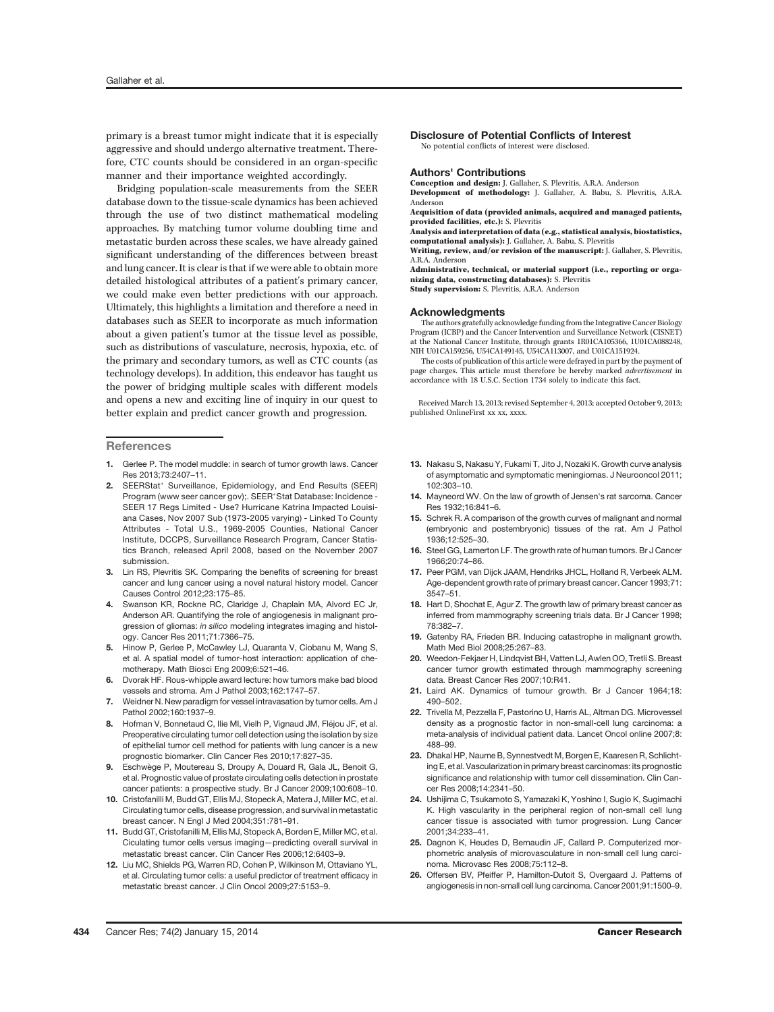primary is a breast tumor might indicate that it is especially aggressive and should undergo alternative treatment. Therefore, CTC counts should be considered in an organ-specific manner and their importance weighted accordingly.

Bridging population-scale measurements from the SEER database down to the tissue-scale dynamics has been achieved through the use of two distinct mathematical modeling approaches. By matching tumor volume doubling time and metastatic burden across these scales, we have already gained significant understanding of the differences between breast and lung cancer. It is clear is that if we were able to obtain more detailed histological attributes of a patient's primary cancer, we could make even better predictions with our approach. Ultimately, this highlights a limitation and therefore a need in databases such as SEER to incorporate as much information about a given patient's tumor at the tissue level as possible, such as distributions of vasculature, necrosis, hypoxia, etc. of the primary and secondary tumors, as well as CTC counts (as technology develops). In addition, this endeavor has taught us the power of bridging multiple scales with different models and opens a new and exciting line of inquiry in our quest to better explain and predict cancer growth and progression.

#### **References**

- 1. Gerlee P. The model muddle: in search of tumor growth laws. Cancer Res 2013;73:2407–11.
- 2. SEERStat\* Surveillance, Epidemiology, and End Results (SEER) Program (www seer cancer gov);. SEER\*Stat Database: Incidence -SEER 17 Regs Limited - Use? Hurricane Katrina Impacted Louisiana Cases, Nov 2007 Sub (1973-2005 varying) - Linked To County Attributes - Total U.S., 1969-2005 Counties, National Cancer Institute, DCCPS, Surveillance Research Program, Cancer Statistics Branch, released April 2008, based on the November 2007 submission.
- 3. Lin RS, Plevritis SK. Comparing the benefits of screening for breast cancer and lung cancer using a novel natural history model. Cancer Causes Control 2012;23:175–85.
- Swanson KR, Rockne RC, Claridge J, Chaplain MA, Alvord EC Jr, Anderson AR. Quantifying the role of angiogenesis in malignant progression of gliomas: in silico modeling integrates imaging and histology. Cancer Res 2011;71:7366–75.
- 5. Hinow P, Gerlee P, McCawley LJ, Quaranta V, Ciobanu M, Wang S, et al. A spatial model of tumor-host interaction: application of chemotherapy. Math Biosci Eng 2009;6:521–46.
- 6. Dvorak HF. Rous-whipple award lecture: how tumors make bad blood vessels and stroma. Am J Pathol 2003;162:1747–57.
- 7. Weidner N. New paradigm for vessel intravasation by tumor cells. Am J Pathol 2002;160:1937–9.
- 8. Hofman V, Bonnetaud C, Ilie MI, Vielh P, Vignaud JM, Fléjou JF, et al. Preoperative circulating tumor cell detection using the isolation by size of epithelial tumor cell method for patients with lung cancer is a new prognostic biomarker. Clin Cancer Res 2010;17:827–35.
- 9. Eschwège P, Moutereau S, Droupy A, Douard R, Gala JL, Benoit G, et al. Prognostic value of prostate circulating cells detection in prostate cancer patients: a prospective study. Br J Cancer 2009;100:608–10.
- 10. Cristofanilli M, Budd GT, Ellis MJ, Stopeck A, Matera J, Miller MC, et al. Circulating tumor cells, disease progression, and survival in metastatic breast cancer. N Engl J Med 2004;351:781–91.
- 11. Budd GT, Cristofanilli M, Ellis MJ, Stopeck A, Borden E, Miller MC, et al. Ciculating tumor cells versus imaging—predicting overall survival in metastatic breast cancer. Clin Cancer Res 2006;12:6403–9.
- 12. Liu MC, Shields PG, Warren RD, Cohen P, Wilkinson M, Ottaviano YL, et al. Circulating tumor cells: a useful predictor of treatment efficacy in metastatic breast cancer. J Clin Oncol 2009;27:5153–9.

### Disclosure of Potential Conflicts of Interest

No potential conflicts of interest were disclosed.

#### Authors' Contributions

Conception and design: J. Gallaher, S. Plevritis, A.R.A. Anderson

Development of methodology: J. Gallaher, A. Babu, S. Plevritis, A.R.A. Anderson

Acquisition of data (provided animals, acquired and managed patients, provided facilities, etc.): S. Plevritis

Analysis and interpretation of data (e.g., statistical analysis, biostatistics, computational analysis): J. Gallaher, A. Babu, S. Plevritis Writing, review, and/or revision of the manuscript: J. Gallaher, S. Plevritis,

A.R.A. Anderson Administrative, technical, or material support (i.e., reporting or orga-

nizing data, constructing databases): S. Plevritis Study supervision: S. Plevritis, A.R.A. Anderson

#### Acknowledgments

The authors gratefully acknowledge funding from the Integrative Cancer Biology Program (ICBP) and the Cancer Intervention and Surveillance Network (CISNET) at the National Cancer Institute, through grants 1R01CA105366, 1U01CA088248, NIH U01CA159256, U54CA149145, U54CA113007, and U01CA151924.

The costs of publication of this article were defrayed in part by the payment of page charges. This article must therefore be hereby marked advertisement in accordance with 18 U.S.C. Section 1734 solely to indicate this fact.

Received March 13, 2013; revised September 4, 2013; accepted October 9, 2013; published OnlineFirst xx xx, xxxx.

- 13. Nakasu S, Nakasu Y, Fukami T, Jito J, Nozaki K. Growth curve analysis of asymptomatic and symptomatic meningiomas. J Neurooncol 2011; 102:303–10.
- 14. Mayneord WV. On the law of growth of Jensen's rat sarcoma. Cancer Res 1932;16:841–6.
- 15. Schrek R. A comparison of the growth curves of malignant and normal (embryonic and postembryonic) tissues of the rat. Am J Pathol 1936;12:525–30.
- 16. Steel GG, Lamerton LF. The growth rate of human tumors. Br J Cancer 1966;20:74–86.
- 17. Peer PGM, van Dijck JAAM, Hendriks JHCL, Holland R, Verbeek ALM. Age-dependent growth rate of primary breast cancer. Cancer 1993;71: 3547–51.
- 18. Hart D, Shochat E, Agur Z. The growth law of primary breast cancer as inferred from mammography screening trials data. Br J Cancer 1998; 78:382–7.
- 19. Gatenby RA, Frieden BR. Inducing catastrophe in malignant growth. Math Med Biol 2008;25:267–83.
- 20. Weedon-Fekjaer H, Lindqvist BH, Vatten LJ, Awlen OO, Tretli S. Breast cancer tumor growth estimated through mammography screening data. Breast Cancer Res 2007;10:R41.
- 21. Laird AK. Dynamics of tumour growth. Br J Cancer 1964;18: 490–502.
- 22. Trivella M, Pezzella F, Pastorino U, Harris AL, Altman DG. Microvessel density as a prognostic factor in non-small-cell lung carcinoma: a meta-analysis of individual patient data. Lancet Oncol online 2007;8: 488–99.
- 23. Dhakal HP, Naume B, Synnestvedt M, Borgen E, Kaaresen R, Schlichting E, et al. Vascularization in primary breast carcinomas: its prognostic significance and relationship with tumor cell dissemination. Clin Cancer Res 2008;14:2341–50.
- 24. Ushijima C, Tsukamoto S, Yamazaki K, Yoshino I, Sugio K, Sugimachi K. High vascularity in the peripheral region of non-small cell lung cancer tissue is associated with tumor progression. Lung Cancer 2001;34:233–41.
- 25. Dagnon K, Heudes D, Bernaudin JF, Callard P. Computerized morphometric analysis of microvasculature in non-small cell lung carcinoma. Microvasc Res 2008;75:112–8.
- 26. Offersen BV, Pfeiffer P, Hamilton-Dutoit S, Overgaard J. Patterns of angiogenesis in non-small cell lung carcinoma. Cancer 2001;91:1500–9.